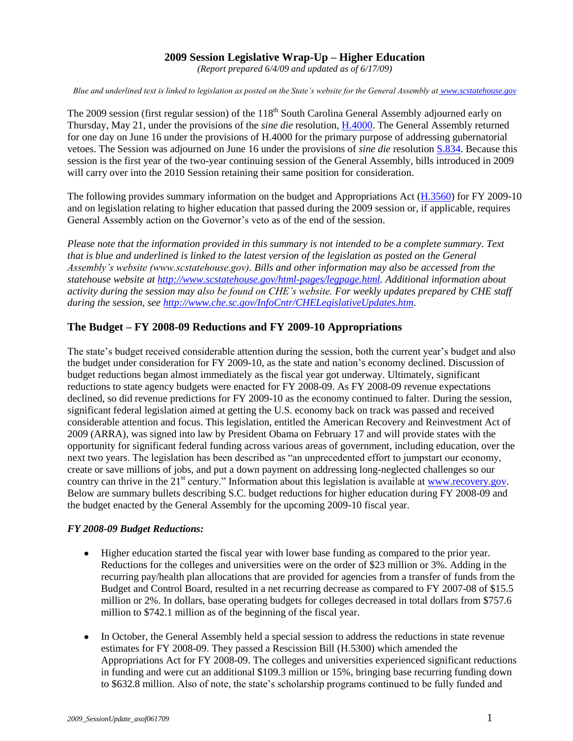## **2009 Session Legislative Wrap-Up – Higher Education**

*(Report prepared 6/4/09 and updated as of 6/17/09)*

*Blue and underlined text is linked to legislation as posted on the State's website for the General Assembly at [www.scstatehouse.gov](http://www.scstatehouse.gov/)* 

The 2009 session (first regular session) of the 118<sup>th</sup> South Carolina General Assembly adjourned early on Thursday, May 21, under the provisions of the *sine die* resolution, [H.4000.](http://www.scstatehouse.gov/sess118_2009-2010/bills/4000.htm) The General Assembly returned for one day on June 16 under the provisions of H.4000 for the primary purpose of addressing gubernatorial vetoes. The Session was adjourned on June 16 under the provisions of *sine die* resolutio[n S.834.](http://www.scstatehouse.gov/sess118_2009-2010/bills/834.htm) Because this session is the first year of the two-year continuing session of the General Assembly, bills introduced in 2009 will carry over into the 2010 Session retaining their same position for consideration.

The following provides summary information on the budget and Appropriations Act [\(H.3560\)](http://www.scstatehouse.gov/sess118_2009-2010/appropriations2009/ta09ndx.htm) for FY 2009-10 and on legislation relating to higher education that passed during the 2009 session or, if applicable, requires General Assembly action on the Governor's veto as of the end of the session.

*Please note that the information provided in this summary is not intended to be a complete summary. Text that is blue and underlined is linked to the latest version of the legislation as posted on the General Assembly's website (www.scstatehouse.gov). Bills and other information may also be accessed from the statehouse website at [http://www.scstatehouse.gov/html-pages/legpage.html.](http://www.scstatehouse.gov/html-pages/legpage.html) Additional information about activity during the session may also be found on CHE's website. For weekly updates prepared by CHE staff during the session, see [http://www.che.sc.gov/InfoCntr/CHELegislativeUpdates.htm.](http://www.che.sc.gov/InfoCntr/CHELegislativeUpdates.htm)*

## **The Budget – FY 2008-09 Reductions and FY 2009-10 Appropriations**

The state's budget received considerable attention during the session, both the current year's budget and also the budget under consideration for FY 2009-10, as the state and nation's economy declined. Discussion of budget reductions began almost immediately as the fiscal year got underway. Ultimately, significant reductions to state agency budgets were enacted for FY 2008-09. As FY 2008-09 revenue expectations declined, so did revenue predictions for FY 2009-10 as the economy continued to falter. During the session, significant federal legislation aimed at getting the U.S. economy back on track was passed and received considerable attention and focus. This legislation, entitled the American Recovery and Reinvestment Act of 2009 (ARRA), was signed into law by President Obama on February 17 and will provide states with the opportunity for significant federal funding across various areas of government, including education, over the next two years. The legislation has been described as "an unprecedented effort to jumpstart our economy, create or save millions of jobs, and put a down payment on addressing long-neglected challenges so our country can thrive in the 21<sup>st</sup> century." Information about this legislation is available at [www.recovery.gov.](http://www.recovery.gov/) Below are summary bullets describing S.C. budget reductions for higher education during FY 2008-09 and the budget enacted by the General Assembly for the upcoming 2009-10 fiscal year.

#### *FY 2008-09 Budget Reductions:*

- Higher education started the fiscal year with lower base funding as compared to the prior year. Reductions for the colleges and universities were on the order of \$23 million or 3%. Adding in the recurring pay/health plan allocations that are provided for agencies from a transfer of funds from the Budget and Control Board, resulted in a net recurring decrease as compared to FY 2007-08 of \$15.5 million or 2%. In dollars, base operating budgets for colleges decreased in total dollars from \$757.6 million to \$742.1 million as of the beginning of the fiscal year.
- In October, the General Assembly held a special session to address the reductions in state revenue estimates for FY 2008-09. They passed a Rescission Bill (H.5300) which amended the Appropriations Act for FY 2008-09. The colleges and universities experienced significant reductions in funding and were cut an additional \$109.3 million or 15%, bringing base recurring funding down to \$632.8 million. Also of note, the state's scholarship programs continued to be fully funded and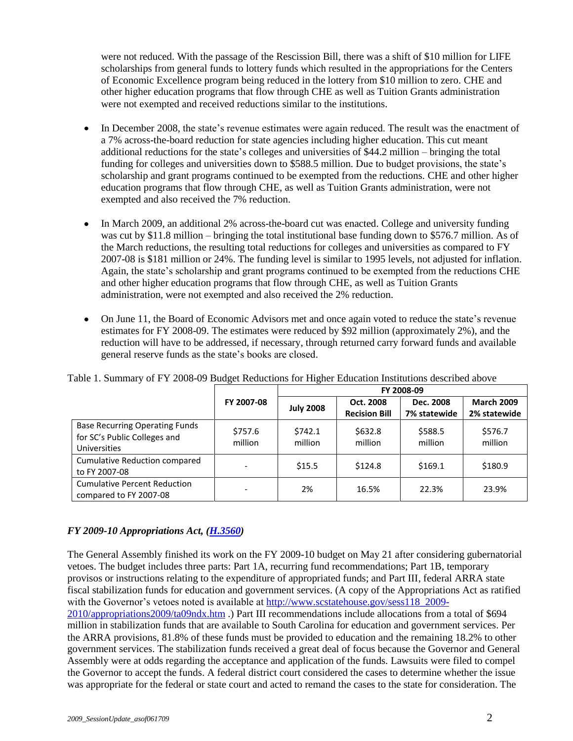were not reduced. With the passage of the Rescission Bill, there was a shift of \$10 million for LIFE scholarships from general funds to lottery funds which resulted in the appropriations for the Centers of Economic Excellence program being reduced in the lottery from \$10 million to zero. CHE and other higher education programs that flow through CHE as well as Tuition Grants administration were not exempted and received reductions similar to the institutions.

- In December 2008, the state's revenue estimates were again reduced. The result was the enactment of  $\bullet$ a 7% across-the-board reduction for state agencies including higher education. This cut meant additional reductions for the state's colleges and universities of \$44.2 million – bringing the total funding for colleges and universities down to \$588.5 million. Due to budget provisions, the state's scholarship and grant programs continued to be exempted from the reductions. CHE and other higher education programs that flow through CHE, as well as Tuition Grants administration, were not exempted and also received the 7% reduction.
- In March 2009, an additional 2% across-the-board cut was enacted. College and university funding was cut by \$11.8 million – bringing the total institutional base funding down to \$576.7 million. As of the March reductions, the resulting total reductions for colleges and universities as compared to FY 2007-08 is \$181 million or 24%. The funding level is similar to 1995 levels, not adjusted for inflation. Again, the state's scholarship and grant programs continued to be exempted from the reductions CHE and other higher education programs that flow through CHE, as well as Tuition Grants administration, were not exempted and also received the 2% reduction.
- On June 11, the Board of Economic Advisors met and once again voted to reduce the state's revenue estimates for FY 2008-09. The estimates were reduced by \$92 million (approximately 2%), and the reduction will have to be addressed, if necessary, through returned carry forward funds and available general reserve funds as the state's books are closed.

|                                                                                       |                    | FY 2008-09         |                                   |                           |                                   |  |  |
|---------------------------------------------------------------------------------------|--------------------|--------------------|-----------------------------------|---------------------------|-----------------------------------|--|--|
|                                                                                       | FY 2007-08         | <b>July 2008</b>   | Oct. 2008<br><b>Recision Bill</b> | Dec. 2008<br>7% statewide | <b>March 2009</b><br>2% statewide |  |  |
| <b>Base Recurring Operating Funds</b><br>for SC's Public Colleges and<br>Universities | \$757.6<br>million | \$742.1<br>million | \$632.8<br>million                | \$588.5<br>million        | \$576.7<br>million                |  |  |
| <b>Cumulative Reduction compared</b><br>to FY 2007-08                                 |                    | \$15.5             | \$124.8                           | \$169.1                   | \$180.9                           |  |  |
| <b>Cumulative Percent Reduction</b><br>compared to FY 2007-08                         |                    | 2%                 | 16.5%                             | 22.3%                     | 23.9%                             |  |  |

Table 1. Summary of FY 2008-09 Budget Reductions for Higher Education Institutions described above

### *FY 2009-10 Appropriations Act, [\(H.3560\)](http://www.scstatehouse.gov/sess118_2009-2010/appropriations2009/ta09ndx.htm)*

The General Assembly finished its work on the FY 2009-10 budget on May 21 after considering gubernatorial vetoes. The budget includes three parts: Part 1A, recurring fund recommendations; Part 1B, temporary provisos or instructions relating to the expenditure of appropriated funds; and Part III, federal ARRA state fiscal stabilization funds for education and government services. (A copy of the Appropriations Act as ratified with the Governor's vetoes noted is available at [http://www.scstatehouse.gov/sess118\\_2009-](http://www.scstatehouse.gov/sess118_2009-2010/appropriations2009/ta09ndx.htm) [2010/appropriations2009/ta09ndx.htm](http://www.scstatehouse.gov/sess118_2009-2010/appropriations2009/ta09ndx.htm) .) Part III recommendations include allocations from a total of \$694 million in stabilization funds that are available to South Carolina for education and government services. Per the ARRA provisions, 81.8% of these funds must be provided to education and the remaining 18.2% to other government services. The stabilization funds received a great deal of focus because the Governor and General Assembly were at odds regarding the acceptance and application of the funds. Lawsuits were filed to compel the Governor to accept the funds. A federal district court considered the cases to determine whether the issue was appropriate for the federal or state court and acted to remand the cases to the state for consideration. The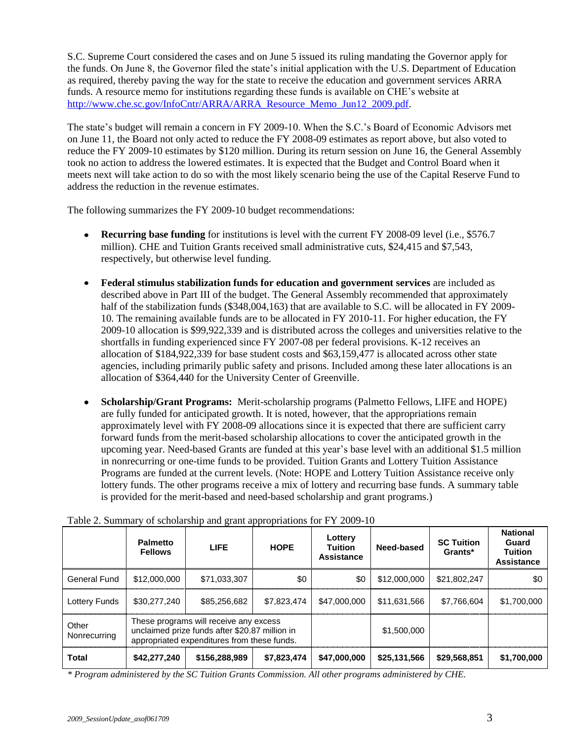S.C. Supreme Court considered the cases and on June 5 issued its ruling mandating the Governor apply for the funds. On June 8, the Governor filed the state's initial application with the U.S. Department of Education as required, thereby paving the way for the state to receive the education and government services ARRA funds. A resource memo for institutions regarding these funds is available on CHE's website at [http://www.che.sc.gov/InfoCntr/ARRA/ARRA\\_Resource\\_Memo\\_Jun12\\_2009.pdf.](http://www.che.sc.gov/InfoCntr/ARRA/ARRA_Resource_Memo_Jun12_2009.pdf)

The state's budget will remain a concern in FY 2009-10. When the S.C.'s Board of Economic Advisors met on June 11, the Board not only acted to reduce the FY 2008-09 estimates as report above, but also voted to reduce the FY 2009-10 estimates by \$120 million. During its return session on June 16, the General Assembly took no action to address the lowered estimates. It is expected that the Budget and Control Board when it meets next will take action to do so with the most likely scenario being the use of the Capital Reserve Fund to address the reduction in the revenue estimates.

The following summarizes the FY 2009-10 budget recommendations:

- **Recurring base funding** for institutions is level with the current FY 2008-09 level (i.e., \$576.7) million). CHE and Tuition Grants received small administrative cuts, \$24,415 and \$7,543, respectively, but otherwise level funding.
- **Federal stimulus stabilization funds for education and government services** are included as described above in Part III of the budget. The General Assembly recommended that approximately half of the stabilization funds (\$348,004,163) that are available to S.C. will be allocated in FY 2009-10. The remaining available funds are to be allocated in FY 2010-11. For higher education, the FY 2009-10 allocation is \$99,922,339 and is distributed across the colleges and universities relative to the shortfalls in funding experienced since FY 2007-08 per federal provisions. K-12 receives an allocation of \$184,922,339 for base student costs and \$63,159,477 is allocated across other state agencies, including primarily public safety and prisons. Included among these later allocations is an allocation of \$364,440 for the University Center of Greenville.
- **Scholarship/Grant Programs:** Merit-scholarship programs (Palmetto Fellows, LIFE and HOPE)  $\bullet$ are fully funded for anticipated growth. It is noted, however, that the appropriations remain approximately level with FY 2008-09 allocations since it is expected that there are sufficient carry forward funds from the merit-based scholarship allocations to cover the anticipated growth in the upcoming year. Need-based Grants are funded at this year's base level with an additional \$1.5 million in nonrecurring or one-time funds to be provided. Tuition Grants and Lottery Tuition Assistance Programs are funded at the current levels. (Note: HOPE and Lottery Tuition Assistance receive only lottery funds. The other programs receive a mix of lottery and recurring base funds. A summary table is provided for the merit-based and need-based scholarship and grant programs.)

|                       | <b>Palmetto</b><br><b>Fellows</b>                                                                                                       | <b>LIFE</b>   | <b>HOPE</b> | Lottery<br><b>Tuition</b><br>Assistance | Need-based   | <b>SC Tuition</b><br>Grants* | <b>National</b><br>Guard<br><b>Tuition</b><br><b>Assistance</b> |
|-----------------------|-----------------------------------------------------------------------------------------------------------------------------------------|---------------|-------------|-----------------------------------------|--------------|------------------------------|-----------------------------------------------------------------|
| General Fund          | \$12,000,000                                                                                                                            | \$71.033.307  | \$0         | \$0                                     | \$12,000,000 | \$21,802,247                 | \$0                                                             |
| Lottery Funds         | \$30,277,240                                                                                                                            | \$85,256,682  | \$7.823.474 | \$47,000,000                            | \$11.631.566 | \$7.766.604                  | \$1,700,000                                                     |
| Other<br>Nonrecurring | These programs will receive any excess<br>unclaimed prize funds after \$20.87 million in<br>appropriated expenditures from these funds. |               |             |                                         | \$1,500,000  |                              |                                                                 |
| <b>Total</b>          | \$42,277,240                                                                                                                            | \$156,288,989 | \$7,823,474 | \$47,000,000                            | \$25,131,566 | \$29,568,851                 | \$1,700,000                                                     |

Table 2. Summary of scholarship and grant appropriations for FY 2009-10

*\* Program administered by the SC Tuition Grants Commission. All other programs administered by CHE.*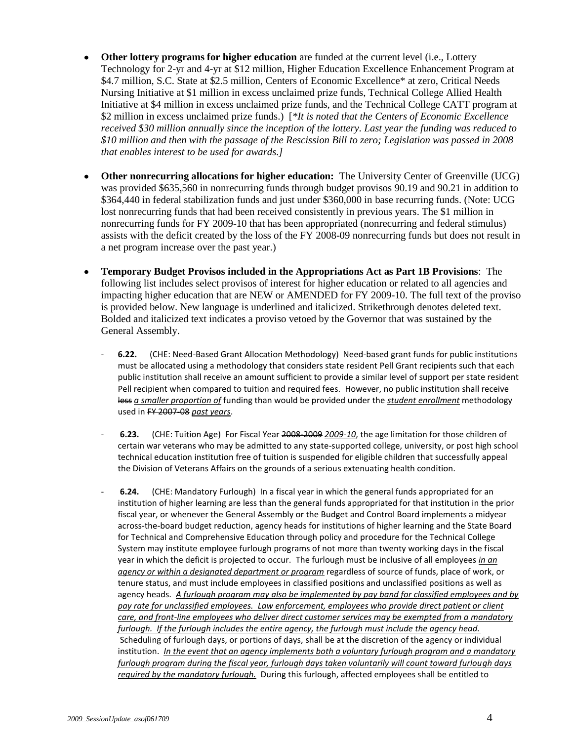- **Other lottery programs for higher education** are funded at the current level (i.e., Lottery Technology for 2-yr and 4-yr at \$12 million, Higher Education Excellence Enhancement Program at \$4.7 million, S.C. State at \$2.5 million, Centers of Economic Excellence\* at zero, Critical Needs Nursing Initiative at \$1 million in excess unclaimed prize funds, Technical College Allied Health Initiative at \$4 million in excess unclaimed prize funds, and the Technical College CATT program at \$2 million in excess unclaimed prize funds.) [*\*It is noted that the Centers of Economic Excellence received \$30 million annually since the inception of the lottery. Last year the funding was reduced to \$10 million and then with the passage of the Rescission Bill to zero; Legislation was passed in 2008 that enables interest to be used for awards.]*
- **Other nonrecurring allocations for higher education:** The University Center of Greenville (UCG) was provided \$635,560 in nonrecurring funds through budget provisos 90.19 and 90.21 in addition to \$364,440 in federal stabilization funds and just under \$360,000 in base recurring funds. (Note: UCG lost nonrecurring funds that had been received consistently in previous years. The \$1 million in nonrecurring funds for FY 2009-10 that has been appropriated (nonrecurring and federal stimulus) assists with the deficit created by the loss of the FY 2008-09 nonrecurring funds but does not result in a net program increase over the past year.)
- **Temporary Budget Provisos included in the Appropriations Act as Part 1B Provisions**: The following list includes select provisos of interest for higher education or related to all agencies and impacting higher education that are NEW or AMENDED for FY 2009-10. The full text of the proviso is provided below. New language is underlined and italicized. Strikethrough denotes deleted text. Bolded and italicized text indicates a proviso vetoed by the Governor that was sustained by the General Assembly.
	- **6.22.** (CHE: Need-Based Grant Allocation Methodology) Need-based grant funds for public institutions must be allocated using a methodology that considers state resident Pell Grant recipients such that each public institution shall receive an amount sufficient to provide a similar level of support per state resident Pell recipient when compared to tuition and required fees. However, no public institution shall receive less *a smaller proportion of* funding than would be provided under the *student enrollment* methodology used in FY 2007-08 *past years*.
	- **6.23.** (CHE: Tuition Age) For Fiscal Year 2008-2009 *2009-10*, the age limitation for those children of certain war veterans who may be admitted to any state-supported college, university, or post high school technical education institution free of tuition is suspended for eligible children that successfully appeal the Division of Veterans Affairs on the grounds of a serious extenuating health condition.
	- **6.24.** (CHE: Mandatory Furlough) In a fiscal year in which the general funds appropriated for an institution of higher learning are less than the general funds appropriated for that institution in the prior fiscal year, or whenever the General Assembly or the Budget and Control Board implements a midyear across-the-board budget reduction, agency heads for institutions of higher learning and the State Board for Technical and Comprehensive Education through policy and procedure for the Technical College System may institute employee furlough programs of not more than twenty working days in the fiscal year in which the deficit is projected to occur. The furlough must be inclusive of all employees *in an agency or within a designated department or program* regardless of source of funds, place of work, or tenure status, and must include employees in classified positions and unclassified positions as well as agency heads. *A furlough program may also be implemented by pay band for classified employees and by pay rate for unclassified employees. Law enforcement, employees who provide direct patient or client care, and front-line employees who deliver direct customer services may be exempted from a mandatory furlough. If the furlough includes the entire agency, the furlough must include the agency head.* Scheduling of furlough days, or portions of days, shall be at the discretion of the agency or individual institution. *In the event that an agency implements both a voluntary furlough program and a mandatory furlough program during the fiscal year, furlough days taken voluntarily will count toward furlough days required by the mandatory furlough.* During this furlough, affected employees shall be entitled to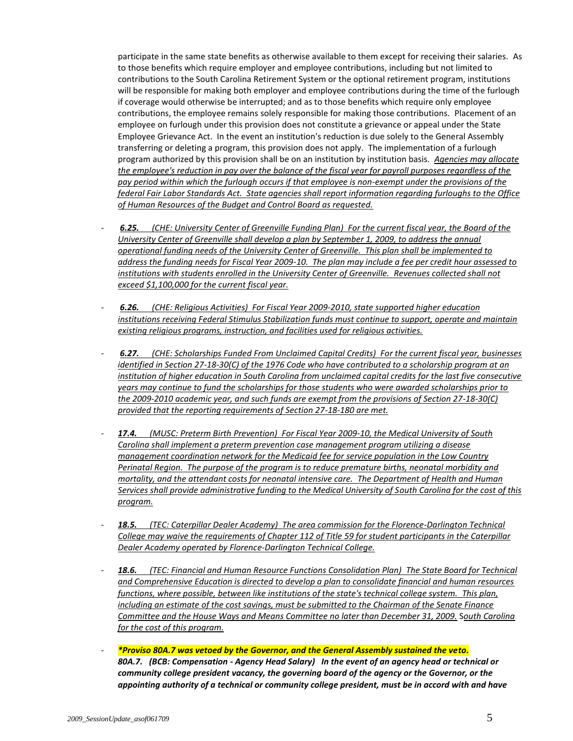participate in the same state benefits as otherwise available to them except for receiving their salaries. As to those benefits which require employer and employee contributions, including but not limited to contributions to the South Carolina Retirement System or the optional retirement program, institutions will be responsible for making both employer and employee contributions during the time of the furlough if coverage would otherwise be interrupted; and as to those benefits which require only employee contributions, the employee remains solely responsible for making those contributions. Placement of an employee on furlough under this provision does not constitute a grievance or appeal under the State Employee Grievance Act. In the event an institution's reduction is due solely to the General Assembly transferring or deleting a program, this provision does not apply. The implementation of a furlough program authorized by this provision shall be on an institution by institution basis. *Agencies may allocate the employee's reduction in pay over the balance of the fiscal year for payroll purposes regardless of the pay period within which the furlough occurs if that employee is non-exempt under the provisions of the federal Fair Labor Standards Act. State agencies shall report information regarding furloughs to the Office of Human Resources of the Budget and Control Board as requested.*

- *6.25. (CHE: University Center of Greenville Funding Plan) For the current fiscal year, the Board of the University Center of Greenville shall develop a plan by September 1, 2009, to address the annual operational funding needs of the University Center of Greenville. This plan shall be implemented to address the funding needs for Fiscal Year 2009-10. The plan may include a fee per credit hour assessed to institutions with students enrolled in the University Center of Greenville. Revenues collected shall not exceed \$1,100,000 for the current fiscal year.*
- *6.26. (CHE: Religious Activities) For Fiscal Year 2009-2010, state supported higher education institutions receiving Federal Stimulus Stabilization funds must continue to support, operate and maintain existing religious programs, instruction, and facilities used for religious activities.*
- *6.27. (CHE: Scholarships Funded From Unclaimed Capital Credits) For the current fiscal year, businesses identified in Section 27-18-30(C) of the 1976 Code who have contributed to a scholarship program at an institution of higher education in South Carolina from unclaimed capital credits for the last five consecutive years may continue to fund the scholarships for those students who were awarded scholarships prior to the 2009-2010 academic year, and such funds are exempt from the provisions of Section 27-18-30(C) provided that the reporting requirements of Section 27-18-180 are met.*
- *17.4. (MUSC: Preterm Birth Prevention) For Fiscal Year 2009-10, the Medical University of South Carolina shall implement a preterm prevention case management program utilizing a disease management coordination network for the Medicaid fee for service population in the Low Country Perinatal Region. The purpose of the program is to reduce premature births, neonatal morbidity and mortality, and the attendant costs for neonatal intensive care. The Department of Health and Human Services shall provide administrative funding to the Medical University of South Carolina for the cost of this program.*
- 18.5. (TEC: Caterpillar Dealer Academy) The area commission for the Florence-Darlington Technical *College may waive the requirements of Chapter 112 of Title 59 for student participants in the Caterpillar Dealer Academy operated by Florence-Darlington Technical College.*
- *18.6. (TEC: Financial and Human Resource Functions Consolidation Plan) The State Board for Technical and Comprehensive Education is directed to develop a plan to consolidate financial and human resources functions, where possible, between like institutions of the state's technical college system. This plan, including an estimate of the cost savings, must be submitted to the Chairman of the Senate Finance Committee and the House Ways and Means Committee no later than December 31, 2009.* S*outh Carolina for the cost of this program.*
- *\*Proviso 80A.7 was vetoed by the Governor, and the General Assembly sustained the veto. 80A.7. (BCB: Compensation - Agency Head Salary) In the event of an agency head or technical or community college president vacancy, the governing board of the agency or the Governor, or the appointing authority of a technical or community college president, must be in accord with and have*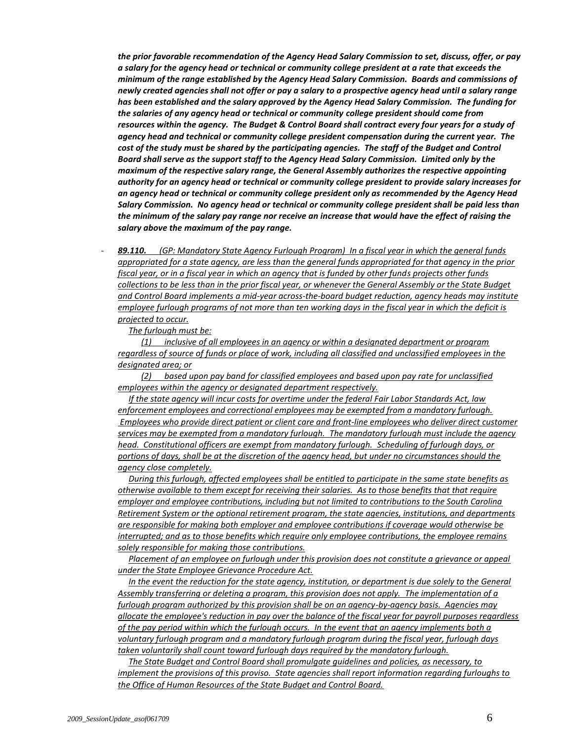*the prior favorable recommendation of the Agency Head Salary Commission to set, discuss, offer, or pay a salary for the agency head or technical or community college president at a rate that exceeds the minimum of the range established by the Agency Head Salary Commission. Boards and commissions of newly created agencies shall not offer or pay a salary to a prospective agency head until a salary range has been established and the salary approved by the Agency Head Salary Commission. The funding for the salaries of any agency head or technical or community college president should come from resources within the agency. The Budget & Control Board shall contract every four years for a study of agency head and technical or community college president compensation during the current year. The cost of the study must be shared by the participating agencies. The staff of the Budget and Control Board shall serve as the support staff to the Agency Head Salary Commission. Limited only by the maximum of the respective salary range, the General Assembly authorizes the respective appointing authority for an agency head or technical or community college president to provide salary increases for an agency head or technical or community college president only as recommended by the Agency Head Salary Commission. No agency head or technical or community college president shall be paid less than the minimum of the salary pay range nor receive an increase that would have the effect of raising the salary above the maximum of the pay range.* 

- *89.110. (GP: Mandatory State Agency Furlough Program) In a fiscal year in which the general funds appropriated for a state agency, are less than the general funds appropriated for that agency in the prior fiscal year, or in a fiscal year in which an agency that is funded by other funds projects other funds collections to be less than in the prior fiscal year, or whenever the General Assembly or the State Budget and Control Board implements a mid-year across-the-board budget reduction, agency heads may institute employee furlough programs of not more than ten working days in the fiscal year in which the deficit is projected to occur.*

*The furlough must be:*

 *(1) inclusive of all employees in an agency or within a designated department or program regardless of source of funds or place of work, including all classified and unclassified employees in the designated area; or*

 *(2) based upon pay band for classified employees and based upon pay rate for unclassified employees within the agency or designated department respectively.*

 *If the state agency will incur costs for overtime under the federal Fair Labor Standards Act, law enforcement employees and correctional employees may be exempted from a mandatory furlough. Employees who provide direct patient or client care and front-line employees who deliver direct customer services may be exempted from a mandatory furlough. The mandatory furlough must include the agency head. Constitutional officers are exempt from mandatory furlough. Scheduling of furlough days, or portions of days, shall be at the discretion of the agency head, but under no circumstances should the agency close completely.*

 *During this furlough, affected employees shall be entitled to participate in the same state benefits as otherwise available to them except for receiving their salaries. As to those benefits that that require employer and employee contributions, including but not limited to contributions to the South Carolina Retirement System or the optional retirement program, the state agencies, institutions, and departments are responsible for making both employer and employee contributions if coverage would otherwise be interrupted; and as to those benefits which require only employee contributions, the employee remains solely responsible for making those contributions.*

 *Placement of an employee on furlough under this provision does not constitute a grievance or appeal under the State Employee Grievance Procedure Act.*

 *In the event the reduction for the state agency, institution, or department is due solely to the General Assembly transferring or deleting a program, this provision does not apply. The implementation of a furlough program authorized by this provision shall be on an agency-by-agency basis. Agencies may allocate the employee's reduction in pay over the balance of the fiscal year for payroll purposes regardless of the pay period within which the furlough occurs. In the event that an agency implements both a voluntary furlough program and a mandatory furlough program during the fiscal year, furlough days taken voluntarily shall count toward furlough days required by the mandatory furlough.*

 *The State Budget and Control Board shall promulgate guidelines and policies, as necessary, to implement the provisions of this proviso. State agencies shall report information regarding furloughs to the Office of Human Resources of the State Budget and Control Board.*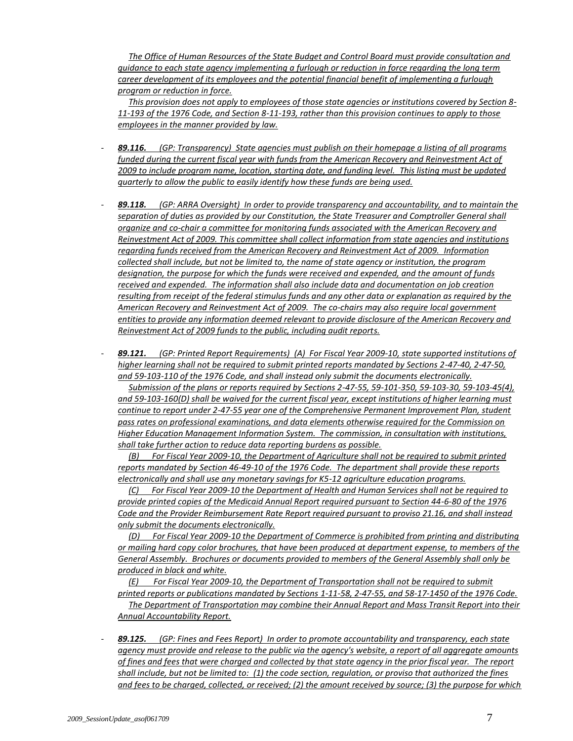*The Office of Human Resources of the State Budget and Control Board must provide consultation and guidance to each state agency implementing a furlough or reduction in force regarding the long term career development of its employees and the potential financial benefit of implementing a furlough program or reduction in force.*

 *This provision does not apply to employees of those state agencies or institutions covered by Section 8- 11-193 of the 1976 Code, and Section 8-11-193, rather than this provision continues to apply to those employees in the manner provided by law.*

- *89.116. (GP: Transparency) State agencies must publish on their homepage a listing of all programs funded during the current fiscal year with funds from the American Recovery and Reinvestment Act of 2009 to include program name, location, starting date, and funding level. This listing must be updated quarterly to allow the public to easily identify how these funds are being used.*
- *89.118. (GP: ARRA Oversight) In order to provide transparency and accountability, and to maintain the separation of duties as provided by our Constitution, the State Treasurer and Comptroller General shall organize and co-chair a committee for monitoring funds associated with the American Recovery and Reinvestment Act of 2009. This committee shall collect information from state agencies and institutions regarding funds received from the American Recovery and Reinvestment Act of 2009. Information collected shall include, but not be limited to, the name of state agency or institution, the program designation, the purpose for which the funds were received and expended, and the amount of funds received and expended. The information shall also include data and documentation on job creation resulting from receipt of the federal stimulus funds and any other data or explanation as required by the American Recovery and Reinvestment Act of 2009. The co-chairs may also require local government entities to provide any information deemed relevant to provide disclosure of the American Recovery and Reinvestment Act of 2009 funds to the public, including audit reports.*
- *89.121. (GP: Printed Report Requirements) (A) For Fiscal Year 2009-10, state supported institutions of higher learning shall not be required to submit printed reports mandated by Sections 2-47-40, 2-47-50, and 59-103-110 of the 1976 Code, and shall instead only submit the documents electronically.*

 *Submission of the plans or reports required by Sections 2-47-55, 59-101-350, 59-103-30, 59-103-45(4), and 59-103-160(D) shall be waived for the current fiscal year, except institutions of higher learning must continue to report under 2-47-55 year one of the Comprehensive Permanent Improvement Plan, student pass rates on professional examinations, and data elements otherwise required for the Commission on Higher Education Management Information System. The commission, in consultation with institutions, shall take further action to reduce data reporting burdens as possible.*

 *(B) For Fiscal Year 2009-10, the Department of Agriculture shall not be required to submit printed reports mandated by Section 46-49-10 of the 1976 Code. The department shall provide these reports electronically and shall use any monetary savings for K5-12 agriculture education programs.*

 *(C) For Fiscal Year 2009-10 the Department of Health and Human Services shall not be required to provide printed copies of the Medicaid Annual Report required pursuant to Section 44-6-80 of the 1976 Code and the Provider Reimbursement Rate Report required pursuant to proviso 21.16, and shall instead only submit the documents electronically.*

 *(D) For Fiscal Year 2009-10 the Department of Commerce is prohibited from printing and distributing or mailing hard copy color brochures, that have been produced at department expense, to members of the General Assembly. Brochures or documents provided to members of the General Assembly shall only be produced in black and white.*

 *(E) For Fiscal Year 2009-10, the Department of Transportation shall not be required to submit printed reports or publications mandated by Sections 1-11-58, 2-47-55, and 58-17-1450 of the 1976 Code.*

 *The Department of Transportation may combine their Annual Report and Mass Transit Report into their Annual Accountability Report.*

- *89.125. (GP: Fines and Fees Report) In order to promote accountability and transparency, each state agency must provide and release to the public via the agency's website, a report of all aggregate amounts of fines and fees that were charged and collected by that state agency in the prior fiscal year. The report shall include, but not be limited to: (1) the code section, regulation, or proviso that authorized the fines and fees to be charged, collected, or received; (2) the amount received by source; (3) the purpose for which*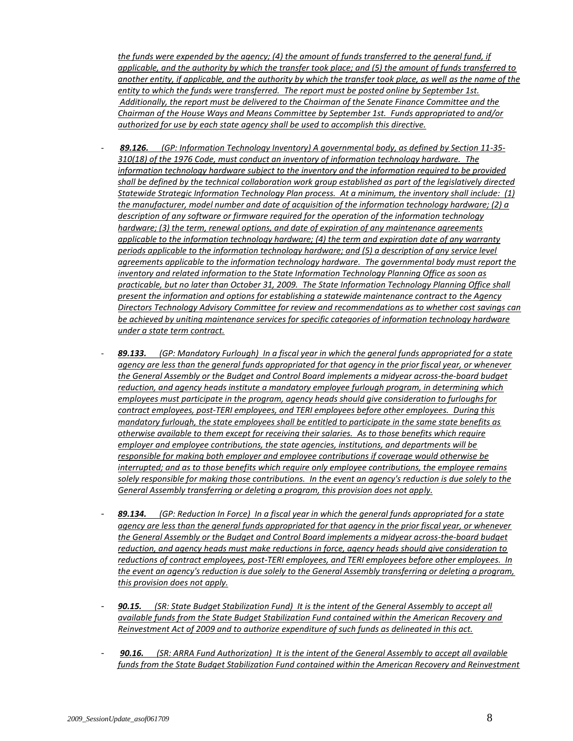*the funds were expended by the agency; (4) the amount of funds transferred to the general fund, if applicable, and the authority by which the transfer took place; and (5) the amount of funds transferred to another entity, if applicable, and the authority by which the transfer took place, as well as the name of the entity to which the funds were transferred. The report must be posted online by September 1st. Additionally, the report must be delivered to the Chairman of the Senate Finance Committee and the Chairman of the House Ways and Means Committee by September 1st. Funds appropriated to and/or authorized for use by each state agency shall be used to accomplish this directive.*

- *89.126. (GP: Information Technology Inventory) A governmental body, as defined by Section 11-35- 310(18) of the 1976 Code, must conduct an inventory of information technology hardware. The information technology hardware subject to the inventory and the information required to be provided shall be defined by the technical collaboration work group established as part of the legislatively directed Statewide Strategic Information Technology Plan process. At a minimum, the inventory shall include: (1) the manufacturer, model number and date of acquisition of the information technology hardware; (2) a description of any software or firmware required for the operation of the information technology hardware; (3) the term, renewal options, and date of expiration of any maintenance agreements applicable to the information technology hardware; (4) the term and expiration date of any warranty periods applicable to the information technology hardware; and (5) a description of any service level agreements applicable to the information technology hardware. The governmental body must report the inventory and related information to the State Information Technology Planning Office as soon as practicable, but no later than October 31, 2009. The State Information Technology Planning Office shall present the information and options for establishing a statewide maintenance contract to the Agency Directors Technology Advisory Committee for review and recommendations as to whether cost savings can be achieved by uniting maintenance services for specific categories of information technology hardware under a state term contract.*
- *89.133. (GP: Mandatory Furlough) In a fiscal year in which the general funds appropriated for a state agency are less than the general funds appropriated for that agency in the prior fiscal year, or whenever the General Assembly or the Budget and Control Board implements a midyear across-the-board budget reduction, and agency heads institute a mandatory employee furlough program, in determining which employees must participate in the program, agency heads should give consideration to furloughs for contract employees, post-TERI employees, and TERI employees before other employees. During this mandatory furlough, the state employees shall be entitled to participate in the same state benefits as otherwise available to them except for receiving their salaries. As to those benefits which require employer and employee contributions, the state agencies, institutions, and departments will be responsible for making both employer and employee contributions if coverage would otherwise be interrupted; and as to those benefits which require only employee contributions, the employee remains solely responsible for making those contributions. In the event an agency's reduction is due solely to the General Assembly transferring or deleting a program, this provision does not apply.*
- *89.134. (GP: Reduction In Force) In a fiscal year in which the general funds appropriated for a state agency are less than the general funds appropriated for that agency in the prior fiscal year, or whenever the General Assembly or the Budget and Control Board implements a midyear across-the-board budget reduction, and agency heads must make reductions in force, agency heads should give consideration to reductions of contract employees, post-TERI employees, and TERI employees before other employees. In the event an agency's reduction is due solely to the General Assembly transferring or deleting a program, this provision does not apply.*
- *90.15. (SR: State Budget Stabilization Fund) It is the intent of the General Assembly to accept all available funds from the State Budget Stabilization Fund contained within the American Recovery and Reinvestment Act of 2009 and to authorize expenditure of such funds as delineated in this act.*
- *90.16. (SR: ARRA Fund Authorization) It is the intent of the General Assembly to accept all available funds from the State Budget Stabilization Fund contained within the American Recovery and Reinvestment*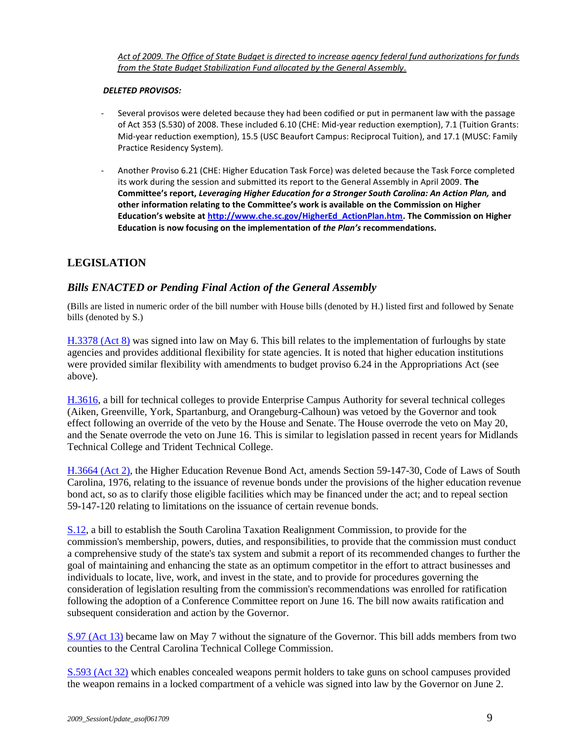*Act of 2009. The Office of State Budget is directed to increase agency federal fund authorizations for funds from the State Budget Stabilization Fund allocated by the General Assembly.*

#### *DELETED PROVISOS:*

- Several provisos were deleted because they had been codified or put in permanent law with the passage of Act 353 (S.530) of 2008. These included 6.10 (CHE: Mid-year reduction exemption), 7.1 (Tuition Grants: Mid-year reduction exemption), 15.5 (USC Beaufort Campus: Reciprocal Tuition), and 17.1 (MUSC: Family Practice Residency System).
- Another Proviso 6.21 (CHE: Higher Education Task Force) was deleted because the Task Force completed its work during the session and submitted its report to the General Assembly in April 2009. **The Committee's report,** *Leveraging Higher Education for a Stronger South Carolina: An Action Plan,* **and other information relating to the Committee's work is available on the Commission on Higher Education's website at [http://www.che.sc.gov/HigherEd\\_ActionPlan.htm.](http://www.che.sc.gov/HigherEd_ActionPlan.htm) The Commission on Higher Education is now focusing on the implementation of** *the Plan's* **recommendations.**

# **LEGISLATION**

# *Bills ENACTED or Pending Final Action of the General Assembly*

(Bills are listed in numeric order of the bill number with House bills (denoted by H.) listed first and followed by Senate bills (denoted by S.)

[H.3378 \(Act 8\)](http://www.scstatehouse.gov/sess118_2009-2010/bills/3378.htm) was signed into law on May 6. This bill relates to the implementation of furloughs by state agencies and provides additional flexibility for state agencies. It is noted that higher education institutions were provided similar flexibility with amendments to budget proviso 6.24 in the Appropriations Act (see above).

[H.3616,](http://www.scstatehouse.gov/sess118_2009-2010/bills/3616.htm) a bill for technical colleges to provide Enterprise Campus Authority for several technical colleges (Aiken, Greenville, York, Spartanburg, and Orangeburg-Calhoun) was vetoed by the Governor and took effect following an override of the veto by the House and Senate. The House overrode the veto on May 20, and the Senate overrode the veto on June 16. This is similar to legislation passed in recent years for Midlands Technical College and Trident Technical College.

[H.3664 \(Act 2\),](http://www.scstatehouse.gov/sess118_2009-2010/bills/3664.htm) the Higher Education Revenue Bond Act, amends Section 59-147-30, Code of Laws of South Carolina, 1976, relating to the issuance of revenue bonds under the provisions of the higher education revenue bond act, so as to clarify those eligible facilities which may be financed under the act; and to repeal section 59-147-120 relating to limitations on the issuance of certain revenue bonds.

[S.12,](http://www.scstatehouse.gov/sess118_2009-2010/bills/12.htm) a bill to establish the South Carolina Taxation Realignment Commission, to provide for the commission's membership, powers, duties, and responsibilities, to provide that the commission must conduct a comprehensive study of the state's tax system and submit a report of its recommended changes to further the goal of maintaining and enhancing the state as an optimum competitor in the effort to attract businesses and individuals to locate, live, work, and invest in the state, and to provide for procedures governing the consideration of legislation resulting from the commission's recommendations was enrolled for ratification following the adoption of a Conference Committee report on June 16. The bill now awaits ratification and subsequent consideration and action by the Governor.

S.97 [\(Act 13\)](http://www.scstatehouse.gov/sess118_2009-2010/bills/97.htm) became law on May 7 without the signature of the Governor. This bill adds members from two counties to the Central Carolina Technical College Commission.

[S.593 \(Act 32\)](http://www.scstatehouse.gov/sess118_2009-2010/bills/593.htm) which enables concealed weapons permit holders to take guns on school campuses provided the weapon remains in a locked compartment of a vehicle was signed into law by the Governor on June 2.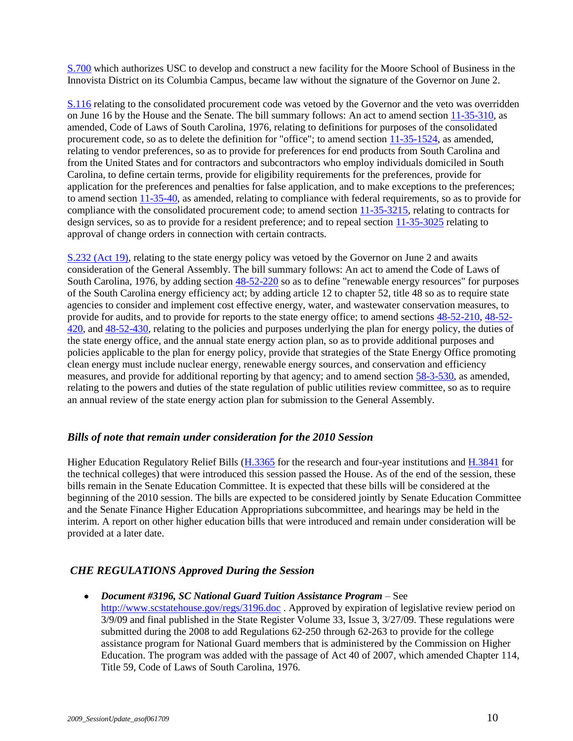[S.700](http://www.scstatehouse.gov/sess118_2009-2010/bills/700.htm) which authorizes USC to develop and construct a new facility for the Moore School of Business in the Innovista District on its Columbia Campus, became law without the signature of the Governor on June 2.

[S.116](http://www.scstatehouse.gov/sess118_2009-2010/bills/116.htm) relating to the consolidated procurement code was vetoed by the Governor and the veto was overridden on June 16 by the House and the Senate. The bill summary follows: An act to amend sectio[n 11-35-310,](http://www.scstatehouse.gov/code/t11c035.htm#11-35-310) as amended, Code of Laws of South Carolina, 1976, relating to definitions for purposes of the consolidated procurement code, so as to delete the definition for "office"; to amend section [11-35-1524,](http://www.scstatehouse.gov/code/t11c035.htm#11-35-1524) as amended, relating to vendor preferences, so as to provide for preferences for end products from South Carolina and from the United States and for contractors and subcontractors who employ individuals domiciled in South Carolina, to define certain terms, provide for eligibility requirements for the preferences, provide for application for the preferences and penalties for false application, and to make exceptions to the preferences; to amend section [11-35-40,](http://www.scstatehouse.gov/code/t11c035.htm#11-35-40) as amended, relating to compliance with federal requirements, so as to provide for compliance with the consolidated procurement code; to amend section [11-35-3215,](http://www.scstatehouse.gov/code/t11c035.htm#11-35-3215) relating to contracts for design services, so as to provide for a resident preference; and to repeal section [11-35-3025](http://www.scstatehouse.gov/code/t11c035.htm#11-35-3025) relating to approval of change orders in connection with certain contracts.

[S.232 \(Act 19\),](http://www.scstatehouse.gov/sess118_2009-2010/bills/232.htm) relating to the state energy policy was vetoed by the Governor on June 2 and awaits consideration of the General Assembly. The bill summary follows: An act to amend the Code of Laws of South Carolina, 1976, by adding section [48-52-220](http://www.scstatehouse.gov/code/t48c052.htm#48-52-220) so as to define "renewable energy resources" for purposes of the South Carolina energy efficiency act; by adding article 12 to chapter 52, title 48 so as to require state agencies to consider and implement cost effective energy, water, and wastewater conservation measures, to provide for audits, and to provide for reports to the state energy office; to amend sections [48-52-210,](http://www.scstatehouse.gov/code/t48c052.htm#48-52-210) [48-52-](http://www.scstatehouse.gov/code/t48c052.htm#48-52-420) [420,](http://www.scstatehouse.gov/code/t48c052.htm#48-52-420) an[d 48-52-430,](http://www.scstatehouse.gov/code/t48c052.htm#48-52-430) relating to the policies and purposes underlying the plan for energy policy, the duties of the state energy office, and the annual state energy action plan, so as to provide additional purposes and policies applicable to the plan for energy policy, provide that strategies of the State Energy Office promoting clean energy must include nuclear energy, renewable energy sources, and conservation and efficiency measures, and provide for additional reporting by that agency; and to amend section [58-3-530,](http://www.scstatehouse.gov/code/t58c003.htm#58-3-530) as amended, relating to the powers and duties of the state regulation of public utilities review committee, so as to require an annual review of the state energy action plan for submission to the General Assembly.

## *Bills of note that remain under consideration for the 2010 Session*

Higher Education Regulatory Relief Bills [\(H.3365](http://www.scstatehouse.gov/sess118_2009-2010/bills/3365.htm) for the research and four-year institutions and [H.3841](http://www.scstatehouse.gov/sess118_2009-2010/bills/3841.htm) for the technical colleges) that were introduced this session passed the House. As of the end of the session, these bills remain in the Senate Education Committee. It is expected that these bills will be considered at the beginning of the 2010 session. The bills are expected to be considered jointly by Senate Education Committee and the Senate Finance Higher Education Appropriations subcommittee, and hearings may be held in the interim. A report on other higher education bills that were introduced and remain under consideration will be provided at a later date.

# *CHE REGULATIONS Approved During the Session*

*Document #3196, SC National Guard Tuition Assistance Program* – See  $\bullet$ <http://www.scstatehouse.gov/regs/3196.doc> . Approved by expiration of legislative review period on 3/9/09 and final published in the State Register Volume 33, Issue 3, 3/27/09. These regulations were submitted during the 2008 to add Regulations 62-250 through 62-263 to provide for the college assistance program for National Guard members that is administered by the Commission on Higher Education. The program was added with the passage of Act 40 of 2007, which amended Chapter 114, Title 59, Code of Laws of South Carolina, 1976.